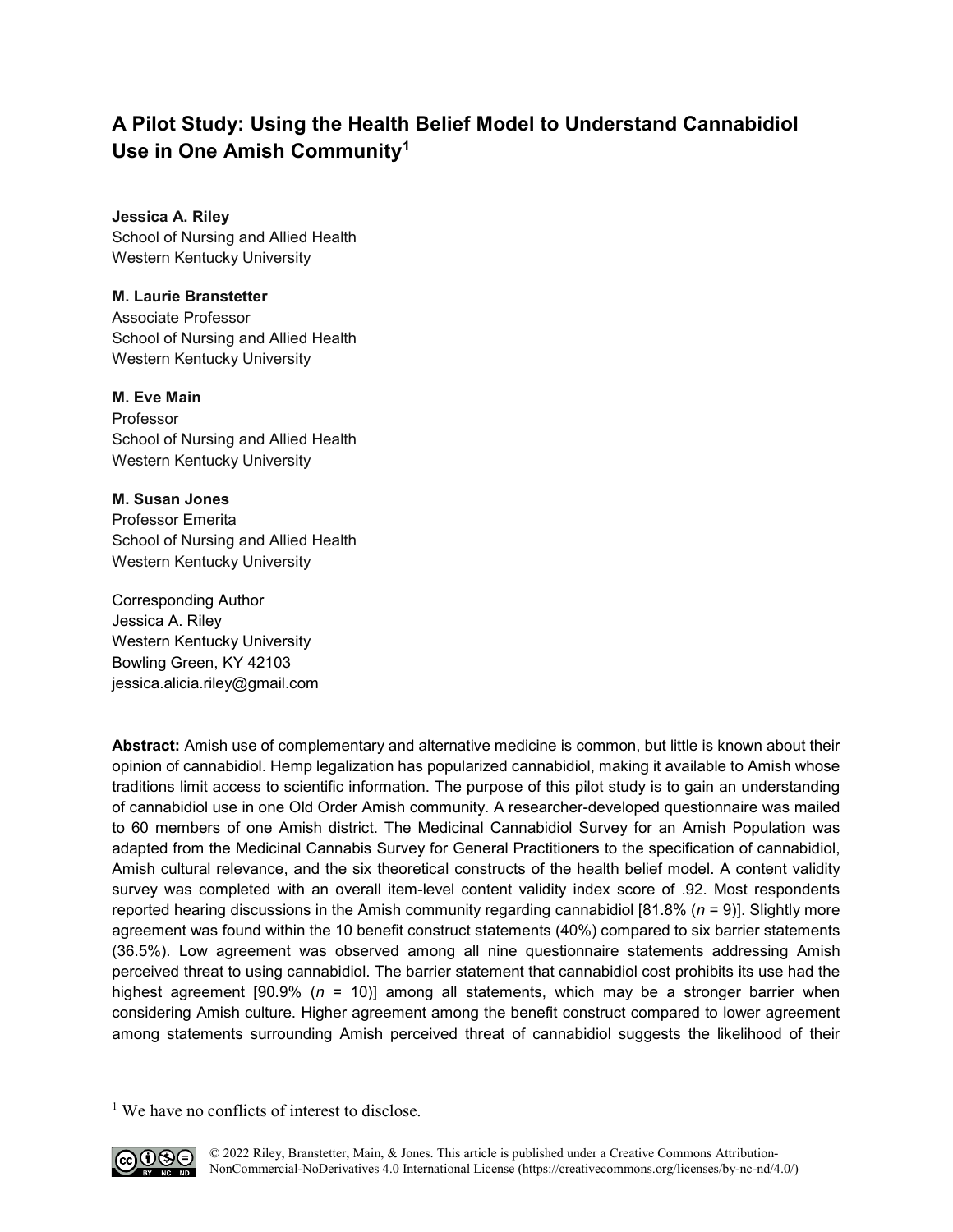# **A Pilot Study: Using the Health Belief Model to Understand Cannabidiol Use in One Amish Community[1](#page-0-0)**

**Jessica A. Riley** School of Nursing and Allied Health Western Kentucky University

## **M. Laurie Branstetter**

Associate Professor School of Nursing and Allied Health Western Kentucky University

## **M. Eve Main**

Professor School of Nursing and Allied Health Western Kentucky University

## **M. Susan Jones**

Professor Emerita School of Nursing and Allied Health Western Kentucky University

Corresponding Author Jessica A. Riley Western Kentucky University Bowling Green, KY 42103 [jessica.alicia.riley@gmail.com](mailto:jessica.alicia.riley@gmail.com)

**Abstract:** Amish use of complementary and alternative medicine is common, but little is known about their opinion of cannabidiol. Hemp legalization has popularized cannabidiol, making it available to Amish whose traditions limit access to scientific information. The purpose of this pilot study is to gain an understanding of cannabidiol use in one Old Order Amish community. A researcher-developed questionnaire was mailed to 60 members of one Amish district. The Medicinal Cannabidiol Survey for an Amish Population was adapted from the Medicinal Cannabis Survey for General Practitioners to the specification of cannabidiol, Amish cultural relevance, and the six theoretical constructs of the health belief model. A content validity survey was completed with an overall item-level content validity index score of .92. Most respondents reported hearing discussions in the Amish community regarding cannabidiol [81.8% (*n* = 9)]. Slightly more agreement was found within the 10 benefit construct statements (40%) compared to six barrier statements (36.5%). Low agreement was observed among all nine questionnaire statements addressing Amish perceived threat to using cannabidiol. The barrier statement that cannabidiol cost prohibits its use had the highest agreement [90.9% (*n* = 10)] among all statements, which may be a stronger barrier when considering Amish culture. Higher agreement among the benefit construct compared to lower agreement among statements surrounding Amish perceived threat of cannabidiol suggests the likelihood of their

<span id="page-0-0"></span><sup>&</sup>lt;sup>1</sup> We have no conflicts of interest to disclose.



l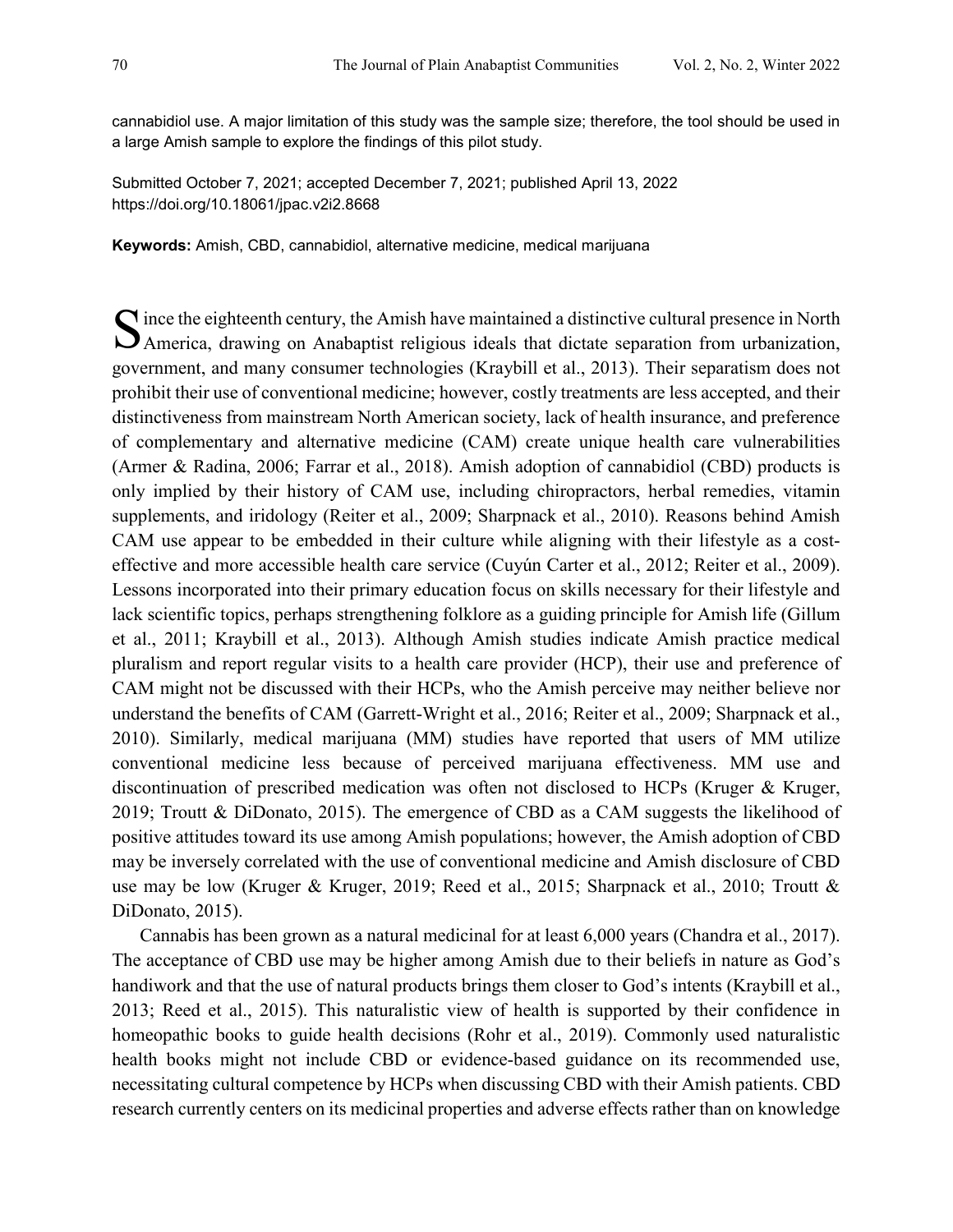cannabidiol use. A major limitation of this study was the sample size; therefore, the tool should be used in a large Amish sample to explore the findings of this pilot study.

Submitted October 7, 2021; accepted December 7, 2021; published April 13, 2022 <https://doi.org/10.18061/jpac.v2i2.8668>

**Keywords:** Amish, CBD, cannabidiol, alternative medicine, medical marijuana

 $\bigcap$  ince the eighteenth century, the Amish have maintained a distinctive cultural presence in North S ince the eighteenth century, the Amish have maintained a distinctive cultural presence in North<br>America, drawing on Anabaptist religious ideals that dictate separation from urbanization, government, and many consumer technologies (Kraybill et al., 2013). Their separatism does not prohibit their use of conventional medicine; however, costly treatments are less accepted, and their distinctiveness from mainstream North American society, lack of health insurance, and preference of complementary and alternative medicine (CAM) create unique health care vulnerabilities (Armer & Radina, 2006; Farrar et al., 2018). Amish adoption of cannabidiol (CBD) products is only implied by their history of CAM use, including chiropractors, herbal remedies, vitamin supplements, and iridology (Reiter et al., 2009; Sharpnack et al., 2010). Reasons behind Amish CAM use appear to be embedded in their culture while aligning with their lifestyle as a costeffective and more accessible health care service (Cuyún Carter et al., 2012; Reiter et al., 2009). Lessons incorporated into their primary education focus on skills necessary for their lifestyle and lack scientific topics, perhaps strengthening folklore as a guiding principle for Amish life (Gillum et al., 2011; Kraybill et al., 2013). Although Amish studies indicate Amish practice medical pluralism and report regular visits to a health care provider (HCP), their use and preference of CAM might not be discussed with their HCPs, who the Amish perceive may neither believe nor understand the benefits of CAM (Garrett-Wright et al., 2016; Reiter et al., 2009; Sharpnack et al., 2010). Similarly, medical marijuana (MM) studies have reported that users of MM utilize conventional medicine less because of perceived marijuana effectiveness. MM use and discontinuation of prescribed medication was often not disclosed to HCPs (Kruger & Kruger, 2019; Troutt & DiDonato, 2015). The emergence of CBD as a CAM suggests the likelihood of positive attitudes toward its use among Amish populations; however, the Amish adoption of CBD may be inversely correlated with the use of conventional medicine and Amish disclosure of CBD use may be low (Kruger & Kruger, 2019; Reed et al., 2015; Sharpnack et al., 2010; Troutt & DiDonato, 2015).

Cannabis has been grown as a natural medicinal for at least 6,000 years (Chandra et al., 2017). The acceptance of CBD use may be higher among Amish due to their beliefs in nature as God's handiwork and that the use of natural products brings them closer to God's intents (Kraybill et al., 2013; Reed et al., 2015). This naturalistic view of health is supported by their confidence in homeopathic books to guide health decisions (Rohr et al., 2019). Commonly used naturalistic health books might not include CBD or evidence-based guidance on its recommended use, necessitating cultural competence by HCPs when discussing CBD with their Amish patients. CBD research currently centers on its medicinal properties and adverse effects rather than on knowledge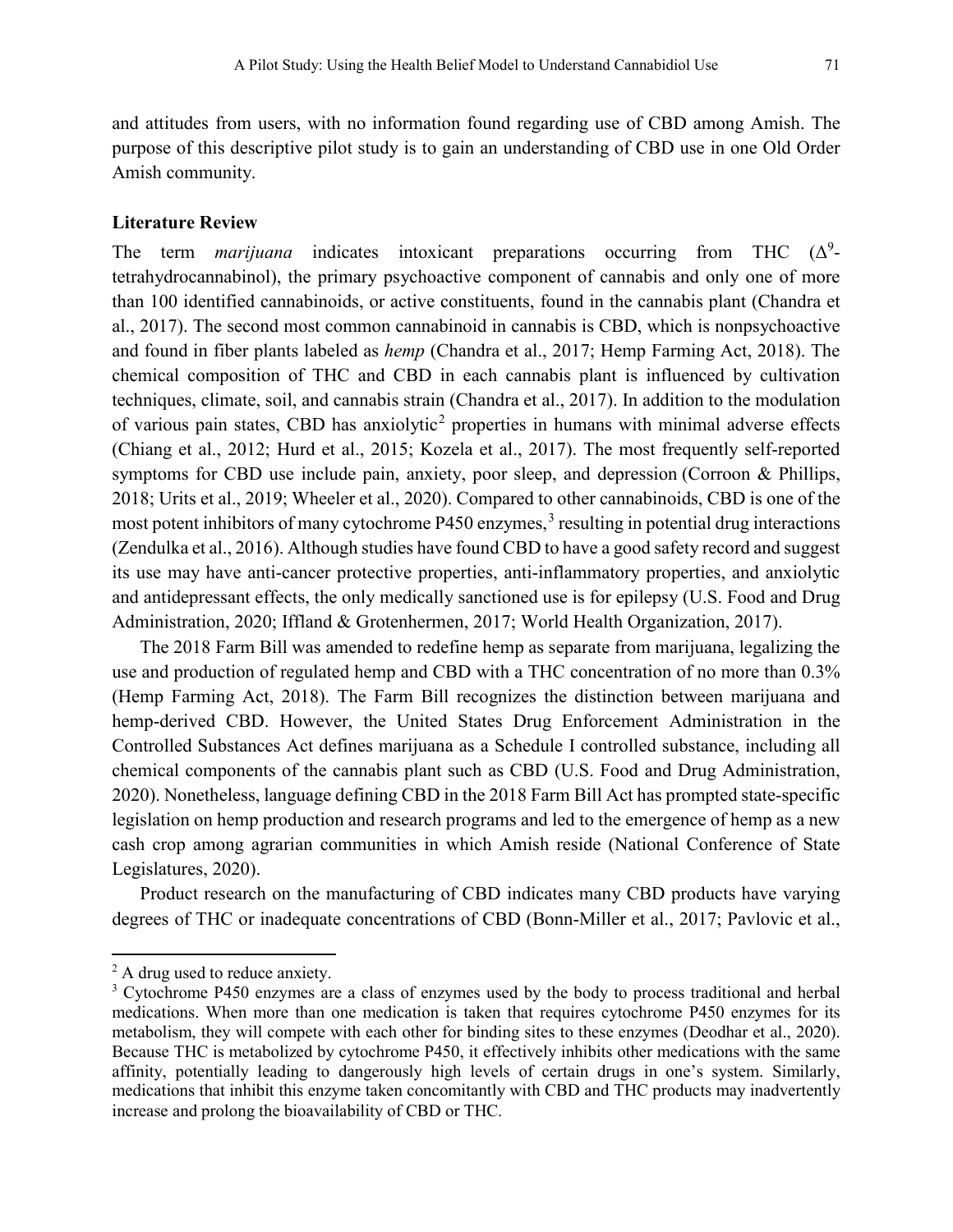and attitudes from users, with no information found regarding use of CBD among Amish. The purpose of this descriptive pilot study is to gain an understanding of CBD use in one Old Order Amish community.

#### **Literature Review**

The term *marijuana* indicates intoxicant preparations occurring from THC  $(\Delta^9$ tetrahydrocannabinol), the primary psychoactive component of cannabis and only one of more than 100 identified cannabinoids, or active constituents, found in the cannabis plant (Chandra et al., 2017). The second most common cannabinoid in cannabis is CBD, which is nonpsychoactive and found in fiber plants labeled as *hemp* (Chandra et al., 2017; Hemp Farming Act, 2018). The chemical composition of THC and CBD in each cannabis plant is influenced by cultivation techniques, climate, soil, and cannabis strain (Chandra et al., 2017). In addition to the modulation of various pain states, CBD has anxiolytic<sup>[2](#page-2-0)</sup> properties in humans with minimal adverse effects (Chiang et al., 2012; Hurd et al., 2015; Kozela et al., 2017). The most frequently self-reported symptoms for CBD use include pain, anxiety, poor sleep, and depression (Corroon & Phillips, 2018; Urits et al., 2019; Wheeler et al., 2020). Compared to other cannabinoids, CBD is one of the most potent inhibitors of many cytochrome  $P450$  enzymes,<sup>[3](#page-2-1)</sup> resulting in potential drug interactions (Zendulka et al., 2016). Although studies have found CBD to have a good safety record and suggest its use may have anti-cancer protective properties, anti-inflammatory properties, and anxiolytic and antidepressant effects, the only medically sanctioned use is for epilepsy (U.S. Food and Drug Administration, 2020; Iffland & Grotenhermen, 2017; World Health Organization, 2017).

The 2018 Farm Bill was amended to redefine hemp as separate from marijuana, legalizing the use and production of regulated hemp and CBD with a THC concentration of no more than 0.3% (Hemp Farming Act, 2018). The Farm Bill recognizes the distinction between marijuana and hemp-derived CBD. However, the United States Drug Enforcement Administration in the Controlled Substances Act defines marijuana as a Schedule I controlled substance, including all chemical components of the cannabis plant such as CBD (U.S. Food and Drug Administration, 2020). Nonetheless, language defining CBD in the 2018 Farm Bill Act has prompted state-specific legislation on hemp production and research programs and led to the emergence of hemp as a new cash crop among agrarian communities in which Amish reside (National Conference of State Legislatures, 2020).

Product research on the manufacturing of CBD indicates many CBD products have varying degrees of THC or inadequate concentrations of CBD (Bonn-Miller et al., 2017; Pavlovic et al.,

l

<span id="page-2-0"></span><sup>&</sup>lt;sup>2</sup> A drug used to reduce anxiety.

<span id="page-2-1"></span><sup>&</sup>lt;sup>3</sup> Cytochrome P450 enzymes are a class of enzymes used by the body to process traditional and herbal medications. When more than one medication is taken that requires cytochrome P450 enzymes for its metabolism, they will compete with each other for binding sites to these enzymes (Deodhar et al., 2020). Because THC is metabolized by cytochrome P450, it effectively inhibits other medications with the same affinity, potentially leading to dangerously high levels of certain drugs in one's system. Similarly, medications that inhibit this enzyme taken concomitantly with CBD and THC products may inadvertently increase and prolong the bioavailability of CBD or THC.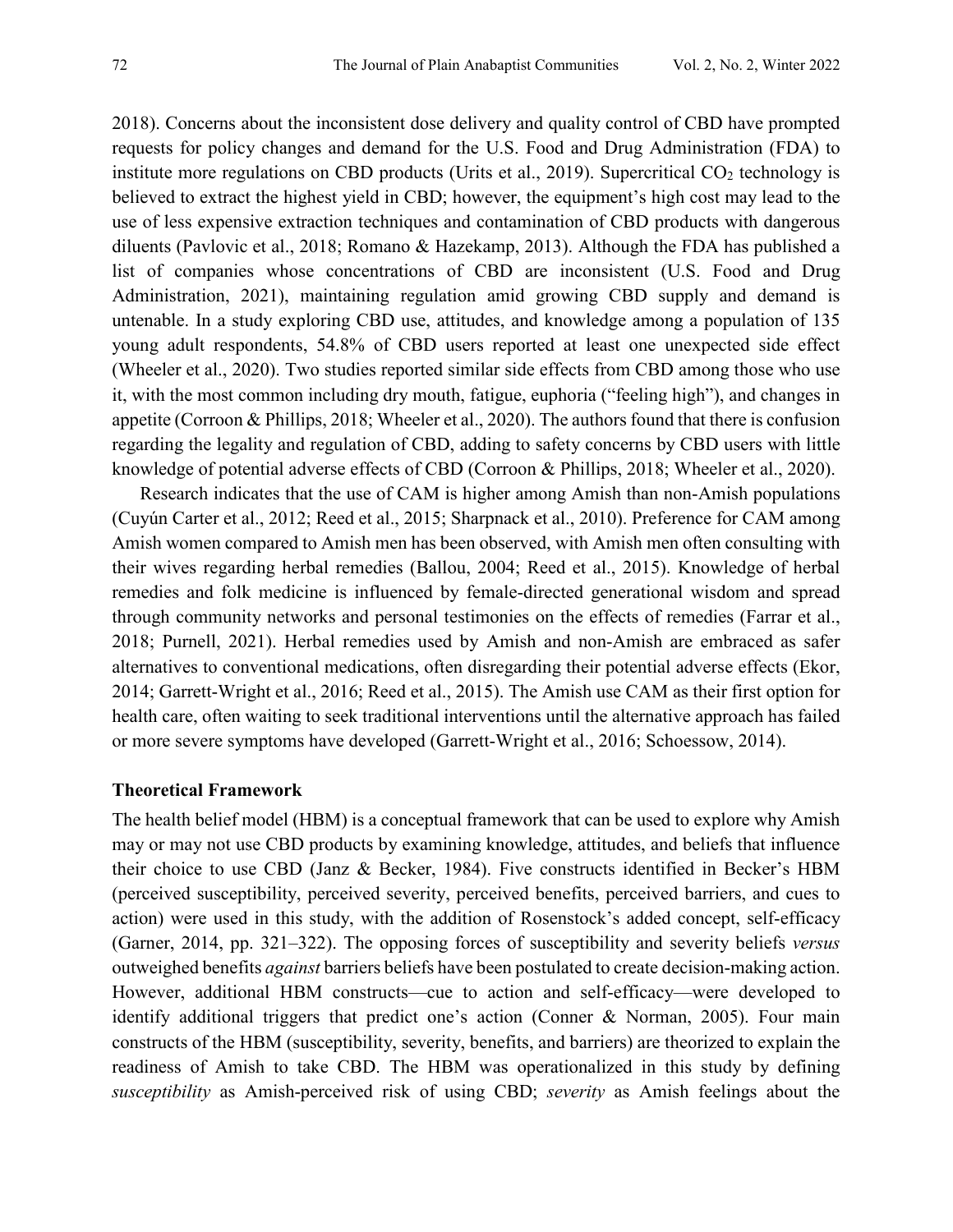2018). Concerns about the inconsistent dose delivery and quality control of CBD have prompted requests for policy changes and demand for the U.S. Food and Drug Administration (FDA) to institute more regulations on CBD products (Urits et al., 2019). Supercritical  $CO<sub>2</sub>$  technology is believed to extract the highest yield in CBD; however, the equipment's high cost may lead to the use of less expensive extraction techniques and contamination of CBD products with dangerous diluents (Pavlovic et al., 2018; Romano & Hazekamp, 2013). Although the FDA has published a list of companies whose concentrations of CBD are inconsistent (U.S. Food and Drug Administration, 2021), maintaining regulation amid growing CBD supply and demand is untenable. In a study exploring CBD use, attitudes, and knowledge among a population of 135 young adult respondents, 54.8% of CBD users reported at least one unexpected side effect (Wheeler et al., 2020). Two studies reported similar side effects from CBD among those who use it, with the most common including dry mouth, fatigue, euphoria ("feeling high"), and changes in appetite (Corroon & Phillips, 2018; Wheeler et al., 2020). The authors found that there is confusion regarding the legality and regulation of CBD, adding to safety concerns by CBD users with little knowledge of potential adverse effects of CBD (Corroon & Phillips, 2018; Wheeler et al., 2020).

Research indicates that the use of CAM is higher among Amish than non-Amish populations (Cuyún Carter et al., 2012; Reed et al., 2015; Sharpnack et al., 2010). Preference for CAM among Amish women compared to Amish men has been observed, with Amish men often consulting with their wives regarding herbal remedies (Ballou, 2004; Reed et al., 2015). Knowledge of herbal remedies and folk medicine is influenced by female-directed generational wisdom and spread through community networks and personal testimonies on the effects of remedies (Farrar et al., 2018; Purnell, 2021). Herbal remedies used by Amish and non-Amish are embraced as safer alternatives to conventional medications, often disregarding their potential adverse effects (Ekor, 2014; Garrett-Wright et al., 2016; Reed et al., 2015). The Amish use CAM as their first option for health care, often waiting to seek traditional interventions until the alternative approach has failed or more severe symptoms have developed (Garrett-Wright et al., 2016; Schoessow, 2014).

#### **Theoretical Framework**

The health belief model (HBM) is a conceptual framework that can be used to explore why Amish may or may not use CBD products by examining knowledge, attitudes, and beliefs that influence their choice to use CBD (Janz & Becker, 1984). Five constructs identified in Becker's HBM (perceived susceptibility, perceived severity, perceived benefits, perceived barriers, and cues to action) were used in this study, with the addition of Rosenstock's added concept, self-efficacy (Garner, 2014, pp. 321–322). The opposing forces of susceptibility and severity beliefs *versus* outweighed benefits *against* barriers beliefs have been postulated to create decision-making action. However, additional HBM constructs—cue to action and self-efficacy—were developed to identify additional triggers that predict one's action (Conner & Norman, 2005). Four main constructs of the HBM (susceptibility, severity, benefits, and barriers) are theorized to explain the readiness of Amish to take CBD. The HBM was operationalized in this study by defining *susceptibility* as Amish-perceived risk of using CBD; *severity* as Amish feelings about the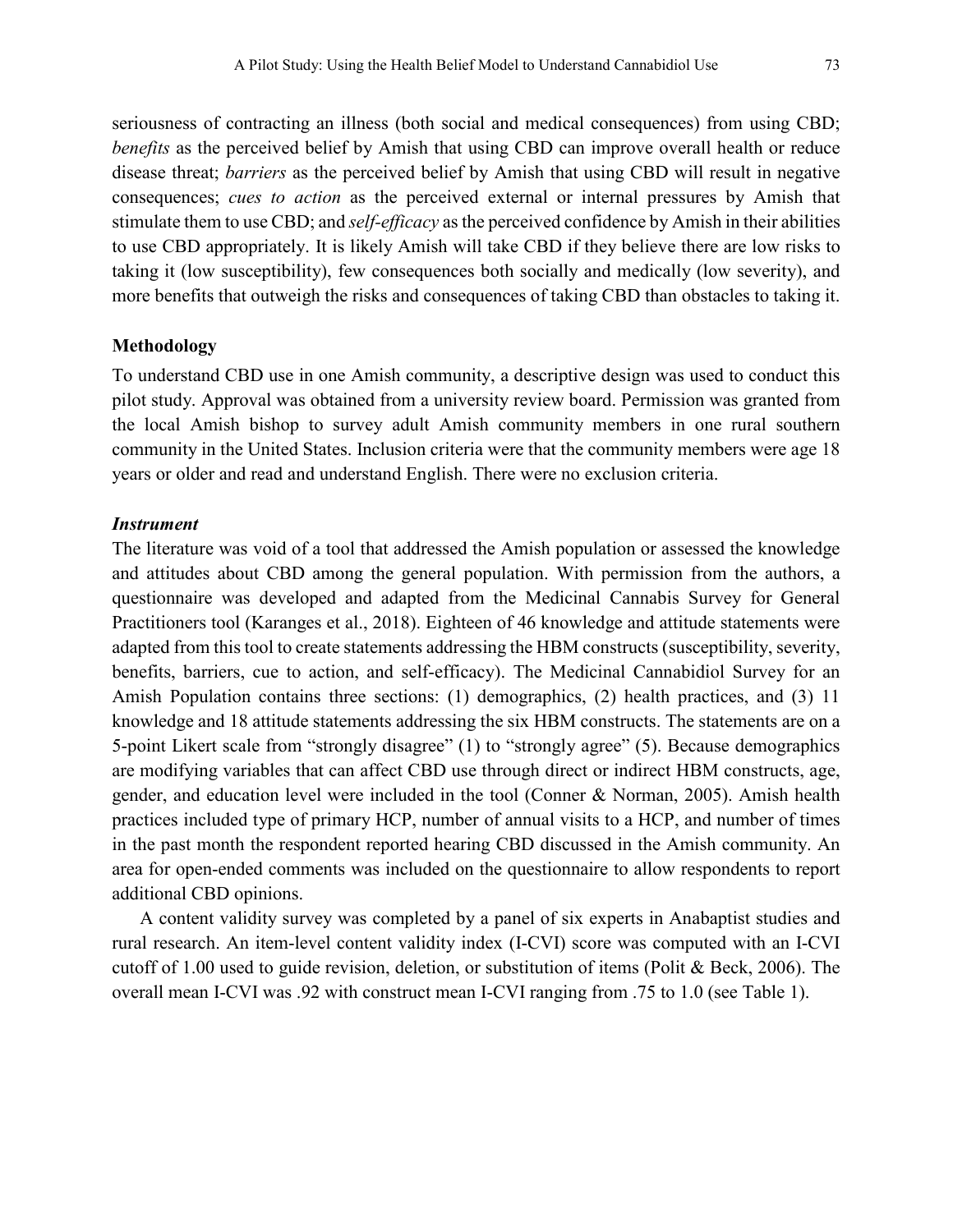seriousness of contracting an illness (both social and medical consequences) from using CBD; *benefits* as the perceived belief by Amish that using CBD can improve overall health or reduce disease threat; *barriers* as the perceived belief by Amish that using CBD will result in negative consequences; *cues to action* as the perceived external or internal pressures by Amish that stimulate them to use CBD; and *self-efficacy* as the perceived confidence by Amish in their abilities to use CBD appropriately. It is likely Amish will take CBD if they believe there are low risks to taking it (low susceptibility), few consequences both socially and medically (low severity), and more benefits that outweigh the risks and consequences of taking CBD than obstacles to taking it.

#### **Methodology**

To understand CBD use in one Amish community, a descriptive design was used to conduct this pilot study. Approval was obtained from a university review board. Permission was granted from the local Amish bishop to survey adult Amish community members in one rural southern community in the United States. Inclusion criteria were that the community members were age 18 years or older and read and understand English. There were no exclusion criteria.

#### *Instrument*

The literature was void of a tool that addressed the Amish population or assessed the knowledge and attitudes about CBD among the general population. With permission from the authors, a questionnaire was developed and adapted from the Medicinal Cannabis Survey for General Practitioners tool (Karanges et al., 2018). Eighteen of 46 knowledge and attitude statements were adapted from this tool to create statements addressing the HBM constructs (susceptibility, severity, benefits, barriers, cue to action, and self-efficacy). The Medicinal Cannabidiol Survey for an Amish Population contains three sections: (1) demographics, (2) health practices, and (3) 11 knowledge and 18 attitude statements addressing the six HBM constructs. The statements are on a 5-point Likert scale from "strongly disagree" (1) to "strongly agree" (5). Because demographics are modifying variables that can affect CBD use through direct or indirect HBM constructs, age, gender, and education level were included in the tool (Conner & Norman, 2005). Amish health practices included type of primary HCP, number of annual visits to a HCP, and number of times in the past month the respondent reported hearing CBD discussed in the Amish community. An area for open-ended comments was included on the questionnaire to allow respondents to report additional CBD opinions.

A content validity survey was completed by a panel of six experts in Anabaptist studies and rural research. An item-level content validity index (I-CVI) score was computed with an I-CVI cutoff of 1.00 used to guide revision, deletion, or substitution of items (Polit & Beck, 2006). The overall mean I-CVI was .92 with construct mean I-CVI ranging from .75 to 1.0 (see Table 1).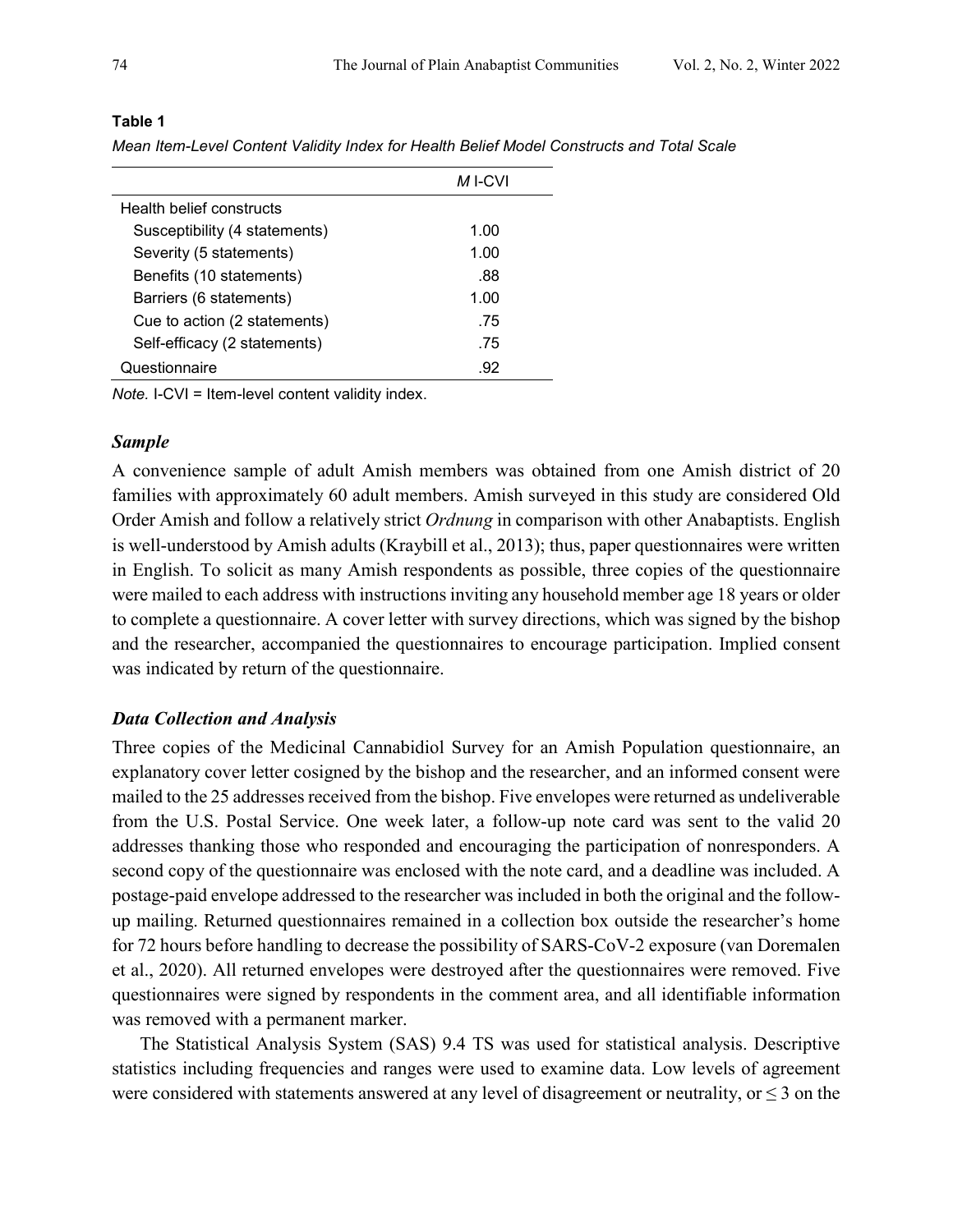|                               | M I-CVI |
|-------------------------------|---------|
| Health belief constructs      |         |
| Susceptibility (4 statements) | 1.00    |
| Severity (5 statements)       | 1.00    |
| Benefits (10 statements)      | .88     |
| Barriers (6 statements)       | 1.00    |
| Cue to action (2 statements)  | .75     |
| Self-efficacy (2 statements)  | .75     |
| Questionnaire                 | -92     |

#### **Table 1**

*Mean Item-Level Content Validity Index for Health Belief Model Constructs and Total Scale*

*Note.* I-CVI = Item-level content validity index.

## *Sample*

A convenience sample of adult Amish members was obtained from one Amish district of 20 families with approximately 60 adult members. Amish surveyed in this study are considered Old Order Amish and follow a relatively strict *Ordnung* in comparison with other Anabaptists. English is well-understood by Amish adults (Kraybill et al., 2013); thus, paper questionnaires were written in English. To solicit as many Amish respondents as possible, three copies of the questionnaire were mailed to each address with instructions inviting any household member age 18 years or older to complete a questionnaire. A cover letter with survey directions, which was signed by the bishop and the researcher, accompanied the questionnaires to encourage participation. Implied consent was indicated by return of the questionnaire.

## *Data Collection and Analysis*

Three copies of the Medicinal Cannabidiol Survey for an Amish Population questionnaire, an explanatory cover letter cosigned by the bishop and the researcher, and an informed consent were mailed to the 25 addresses received from the bishop. Five envelopes were returned as undeliverable from the U.S. Postal Service. One week later, a follow-up note card was sent to the valid 20 addresses thanking those who responded and encouraging the participation of nonresponders. A second copy of the questionnaire was enclosed with the note card, and a deadline was included. A postage-paid envelope addressed to the researcher was included in both the original and the followup mailing. Returned questionnaires remained in a collection box outside the researcher's home for 72 hours before handling to decrease the possibility of SARS-CoV-2 exposure (van Doremalen et al., 2020). All returned envelopes were destroyed after the questionnaires were removed. Five questionnaires were signed by respondents in the comment area, and all identifiable information was removed with a permanent marker.

The Statistical Analysis System (SAS) 9.4 TS was used for statistical analysis. Descriptive statistics including frequencies and ranges were used to examine data. Low levels of agreement were considered with statements answered at any level of disagreement or neutrality, or  $\leq$  3 on the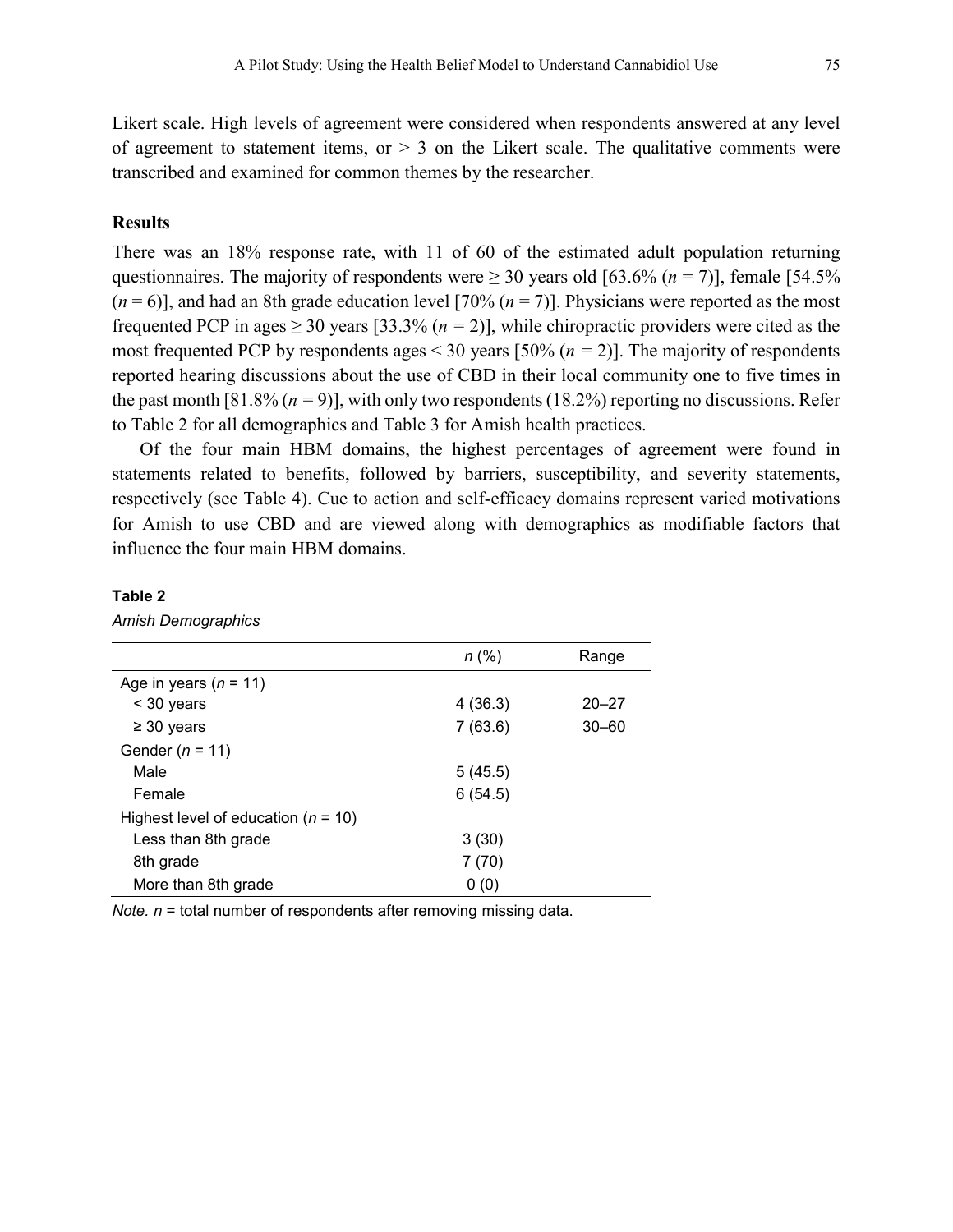Likert scale. High levels of agreement were considered when respondents answered at any level of agreement to statement items, or  $> 3$  on the Likert scale. The qualitative comments were transcribed and examined for common themes by the researcher.

## **Results**

There was an 18% response rate, with 11 of 60 of the estimated adult population returning questionnaires. The majority of respondents were  $\geq 30$  years old [63.6% (*n* = 7)], female [54.5%  $(n=6)$ ], and had an 8th grade education level [70%  $(n=7)$ ]. Physicians were reported as the most frequented PCP in ages  $\geq$  30 years [33.3% ( $n = 2$ )], while chiropractic providers were cited as the most frequented PCP by respondents ages < 30 years [50% (*n =* 2)]. The majority of respondents reported hearing discussions about the use of CBD in their local community one to five times in the past month [81.8% (*n =* 9)], with only two respondents (18.2%) reporting no discussions. Refer to Table 2 for all demographics and Table 3 for Amish health practices.

Of the four main HBM domains, the highest percentages of agreement were found in statements related to benefits, followed by barriers, susceptibility, and severity statements, respectively (see Table 4). Cue to action and self-efficacy domains represent varied motivations for Amish to use CBD and are viewed along with demographics as modifiable factors that influence the four main HBM domains.

#### **Table 2**

*Amish Demographics*

|                                         | $n$ (%) | Range     |
|-----------------------------------------|---------|-----------|
| Age in years $(n = 11)$                 |         |           |
| $<$ 30 years                            | 4(36.3) | $20 - 27$ |
| $\geq$ 30 years                         | 7(63.6) | $30 - 60$ |
| Gender ( $n = 11$ )                     |         |           |
| Male                                    | 5(45.5) |           |
| Female                                  | 6(54.5) |           |
| Highest level of education ( $n = 10$ ) |         |           |
| Less than 8th grade                     | 3(30)   |           |
| 8th grade                               | 7 (70)  |           |
| More than 8th grade                     | 0(0)    |           |

*Note. n* = total number of respondents after removing missing data.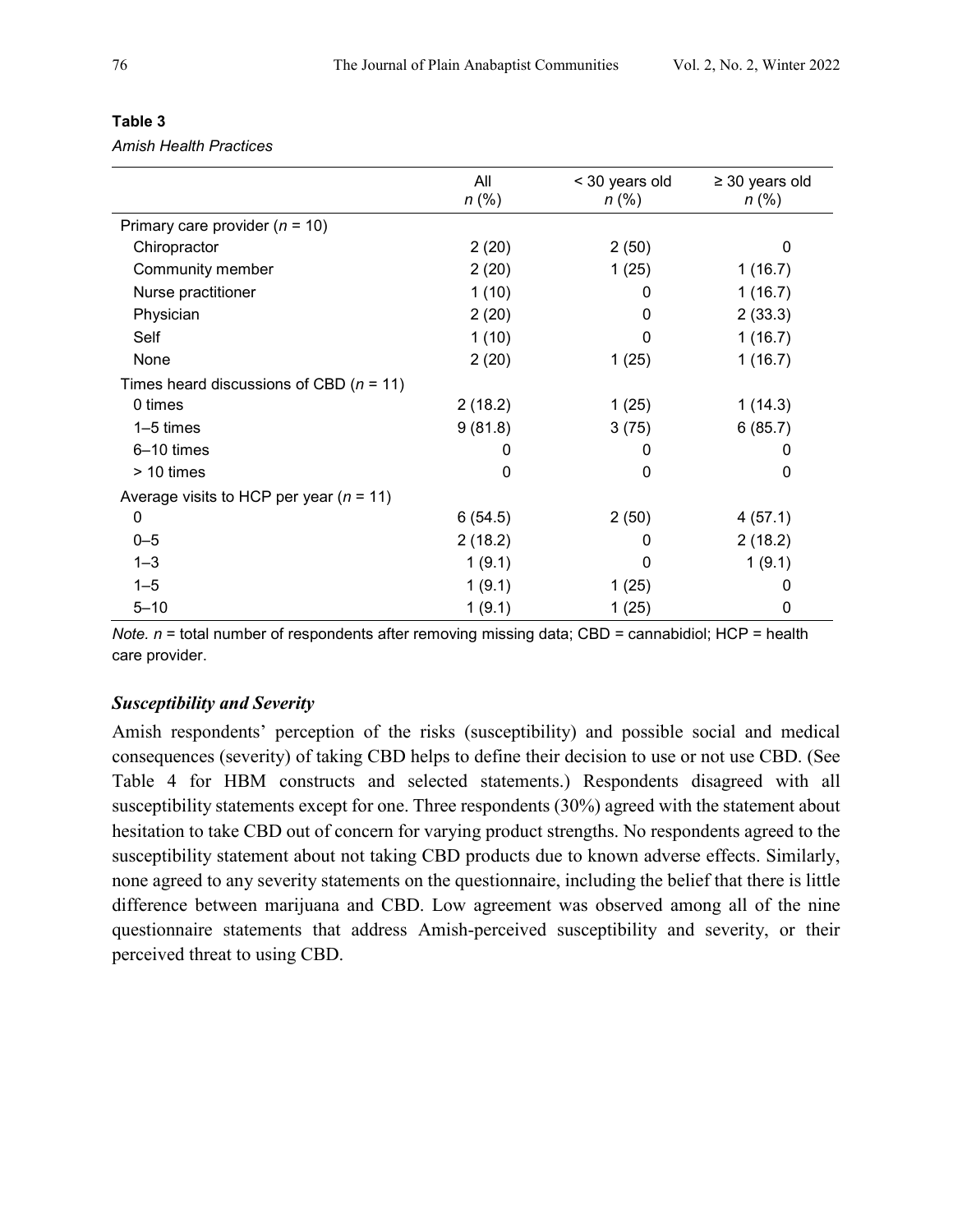|                                             | All<br>$n$ (%) | < 30 years old<br>$n$ (%) | $\geq$ 30 years old<br>$n$ (%) |
|---------------------------------------------|----------------|---------------------------|--------------------------------|
| Primary care provider $(n = 10)$            |                |                           |                                |
| Chiropractor                                | 2(20)          | 2(50)                     | 0                              |
| Community member                            | 2(20)          | 1(25)                     | 1(16.7)                        |
| Nurse practitioner                          | 1(10)          | 0                         | 1(16.7)                        |
| Physician                                   | 2(20)          | 0                         | 2(33.3)                        |
| Self                                        | 1(10)          | 0                         | 1(16.7)                        |
| None                                        | 2(20)          | 1(25)                     | 1(16.7)                        |
| Times heard discussions of CBD ( $n = 11$ ) |                |                           |                                |
| 0 times                                     | 2(18.2)        | 1(25)                     | 1(14.3)                        |
| $1-5$ times                                 | 9(81.8)        | 3(75)                     | 6(85.7)                        |
| 6-10 times                                  | O              | 0                         | 0                              |
| > 10 times                                  | $\Omega$       | 0                         | 0                              |
| Average visits to HCP per year ( $n = 11$ ) |                |                           |                                |
| $\mathbf 0$                                 | 6(54.5)        | 2(50)                     | 4(57.1)                        |
| $0 - 5$                                     | 2(18.2)        | 0                         | 2(18.2)                        |
| $1 - 3$                                     | 1(9.1)         | 0                         | 1(9.1)                         |
| $1 - 5$                                     | 1(9.1)         | 1(25)                     | 0                              |
| $5 - 10$                                    | 1(9.1)         | 1(25)                     | 0                              |

## **Table 3**

*Amish Health Practices*

*Note. n* = total number of respondents after removing missing data; CBD = cannabidiol; HCP = health care provider.

## *Susceptibility and Severity*

Amish respondents' perception of the risks (susceptibility) and possible social and medical consequences (severity) of taking CBD helps to define their decision to use or not use CBD. (See Table 4 for HBM constructs and selected statements.) Respondents disagreed with all susceptibility statements except for one. Three respondents (30%) agreed with the statement about hesitation to take CBD out of concern for varying product strengths. No respondents agreed to the susceptibility statement about not taking CBD products due to known adverse effects. Similarly, none agreed to any severity statements on the questionnaire, including the belief that there is little difference between marijuana and CBD. Low agreement was observed among all of the nine questionnaire statements that address Amish-perceived susceptibility and severity, or their perceived threat to using CBD.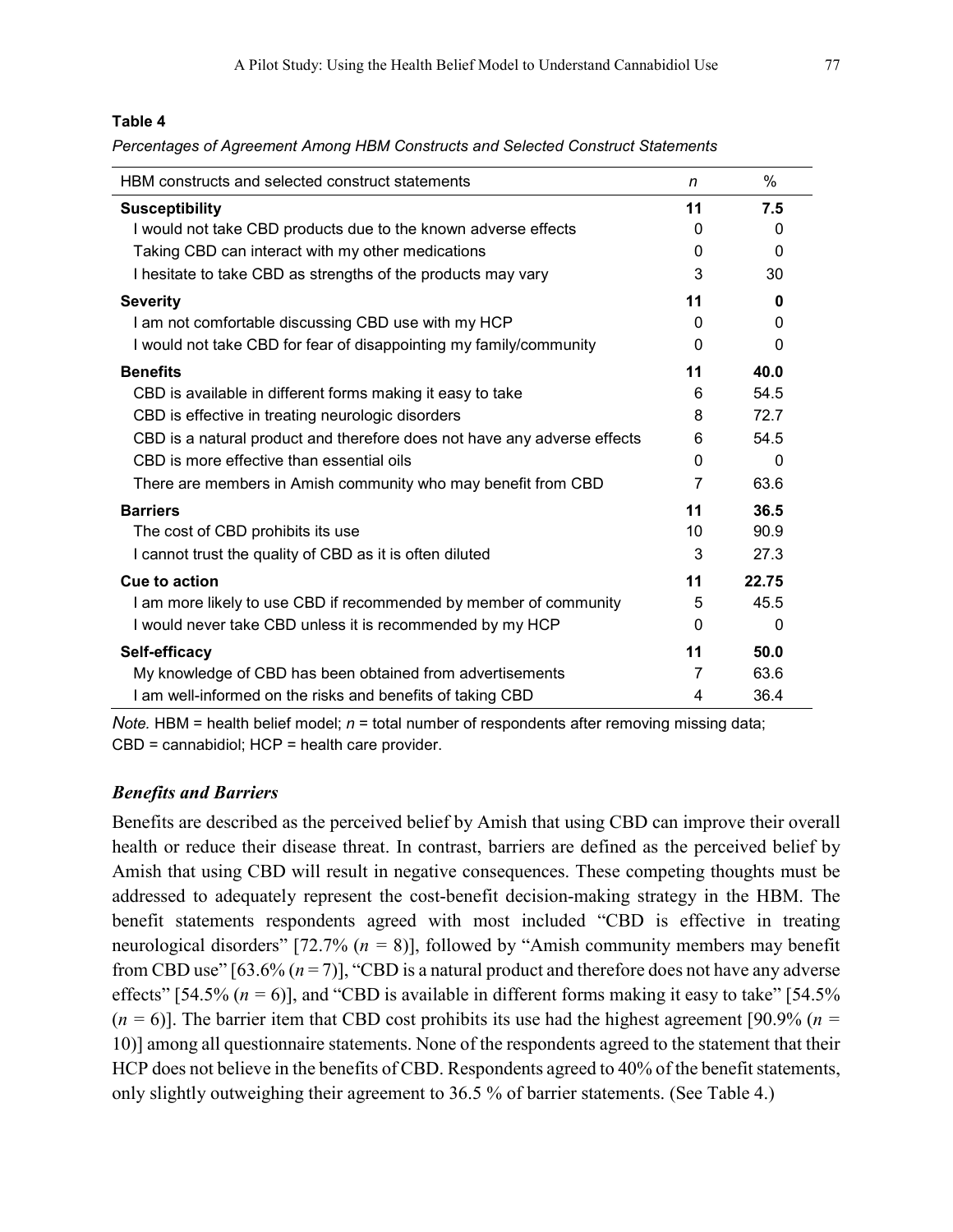## **Table 4**

*Percentages of Agreement Among HBM Constructs and Selected Construct Statements*

| HBM constructs and selected construct statements                         | n        | %        |
|--------------------------------------------------------------------------|----------|----------|
| <b>Susceptibility</b>                                                    | 11       | 7.5      |
| I would not take CBD products due to the known adverse effects           | $\Omega$ | 0        |
| Taking CBD can interact with my other medications                        | 0        | $\Omega$ |
| I hesitate to take CBD as strengths of the products may vary             | 3        | 30       |
| <b>Severity</b>                                                          | 11       | 0        |
| I am not comfortable discussing CBD use with my HCP                      | 0        | 0        |
| I would not take CBD for fear of disappointing my family/community       | 0        | 0        |
| <b>Benefits</b>                                                          | 11       | 40.0     |
| CBD is available in different forms making it easy to take               | 6        | 54.5     |
| CBD is effective in treating neurologic disorders                        | 8        | 72.7     |
| CBD is a natural product and therefore does not have any adverse effects | 6        | 54.5     |
| CBD is more effective than essential oils                                | 0        | $\Omega$ |
| There are members in Amish community who may benefit from CBD            | 7        | 63.6     |
| <b>Barriers</b>                                                          | 11       | 36.5     |
| The cost of CBD prohibits its use                                        | 10       | 90.9     |
| I cannot trust the quality of CBD as it is often diluted                 | 3        | 27.3     |
| Cue to action                                                            | 11       | 22.75    |
| I am more likely to use CBD if recommended by member of community        | 5        | 45.5     |
| I would never take CBD unless it is recommended by my HCP                | 0        | 0        |
| Self-efficacy                                                            | 11       | 50.0     |
| My knowledge of CBD has been obtained from advertisements                | 7        | 63.6     |
| I am well-informed on the risks and benefits of taking CBD               | 4        | 36.4     |

*Note.* HBM = health belief model; *n* = total number of respondents after removing missing data; CBD = cannabidiol; HCP = health care provider.

#### *Benefits and Barriers*

Benefits are described as the perceived belief by Amish that using CBD can improve their overall health or reduce their disease threat. In contrast, barriers are defined as the perceived belief by Amish that using CBD will result in negative consequences. These competing thoughts must be addressed to adequately represent the cost-benefit decision-making strategy in the HBM. The benefit statements respondents agreed with most included "CBD is effective in treating neurological disorders" [72.7% (*n =* 8)], followed by "Amish community members may benefit from CBD use"  $[63.6\% (n=7)]$ , "CBD is a natural product and therefore does not have any adverse effects" [54.5%  $(n = 6)$ ], and "CBD is available in different forms making it easy to take" [54.5%]  $(n = 6)$ ]. The barrier item that CBD cost prohibits its use had the highest agreement [90.9% ( $n =$ 10)] among all questionnaire statements. None of the respondents agreed to the statement that their HCP does not believe in the benefits of CBD. Respondents agreed to 40% of the benefit statements, only slightly outweighing their agreement to 36.5 % of barrier statements. (See Table 4.)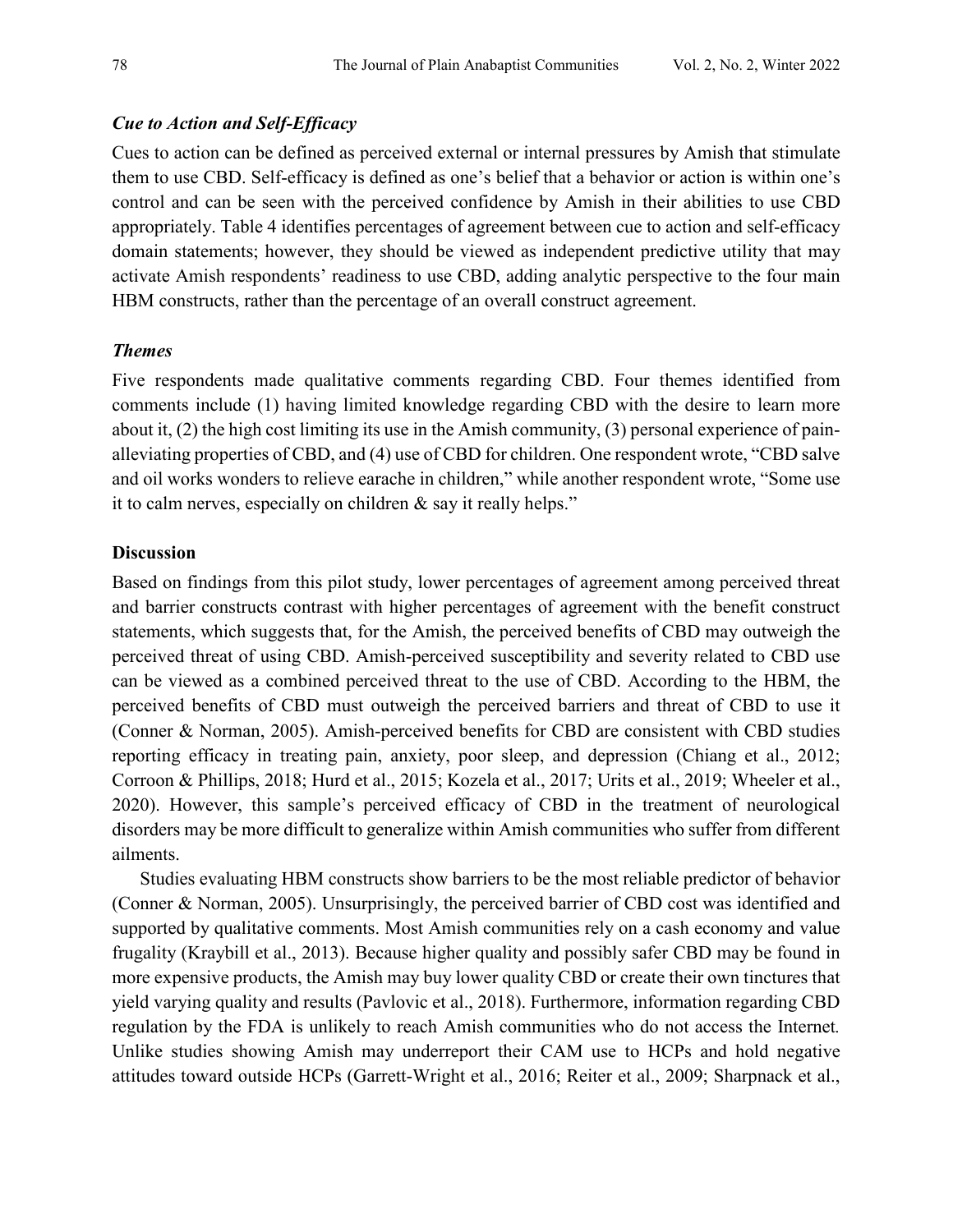#### *Cue to Action and Self-Efficacy*

Cues to action can be defined as perceived external or internal pressures by Amish that stimulate them to use CBD. Self-efficacy is defined as one's belief that a behavior or action is within one's control and can be seen with the perceived confidence by Amish in their abilities to use CBD appropriately. Table 4 identifies percentages of agreement between cue to action and self-efficacy domain statements; however, they should be viewed as independent predictive utility that may activate Amish respondents' readiness to use CBD, adding analytic perspective to the four main HBM constructs, rather than the percentage of an overall construct agreement.

## *Themes*

Five respondents made qualitative comments regarding CBD. Four themes identified from comments include (1) having limited knowledge regarding CBD with the desire to learn more about it, (2) the high cost limiting its use in the Amish community, (3) personal experience of painalleviating properties of CBD, and (4) use of CBD for children. One respondent wrote, "CBD salve and oil works wonders to relieve earache in children," while another respondent wrote, "Some use it to calm nerves, especially on children & say it really helps."

#### **Discussion**

Based on findings from this pilot study, lower percentages of agreement among perceived threat and barrier constructs contrast with higher percentages of agreement with the benefit construct statements, which suggests that, for the Amish, the perceived benefits of CBD may outweigh the perceived threat of using CBD. Amish-perceived susceptibility and severity related to CBD use can be viewed as a combined perceived threat to the use of CBD. According to the HBM, the perceived benefits of CBD must outweigh the perceived barriers and threat of CBD to use it (Conner & Norman, 2005). Amish-perceived benefits for CBD are consistent with CBD studies reporting efficacy in treating pain, anxiety, poor sleep, and depression (Chiang et al., 2012; Corroon & Phillips, 2018; Hurd et al., 2015; Kozela et al., 2017; Urits et al., 2019; Wheeler et al., 2020). However, this sample's perceived efficacy of CBD in the treatment of neurological disorders may be more difficult to generalize within Amish communities who suffer from different ailments.

Studies evaluating HBM constructs show barriers to be the most reliable predictor of behavior (Conner & Norman, 2005). Unsurprisingly, the perceived barrier of CBD cost was identified and supported by qualitative comments. Most Amish communities rely on a cash economy and value frugality (Kraybill et al., 2013). Because higher quality and possibly safer CBD may be found in more expensive products, the Amish may buy lower quality CBD or create their own tinctures that yield varying quality and results (Pavlovic et al., 2018). Furthermore, information regarding CBD regulation by the FDA is unlikely to reach Amish communities who do not access the Internet*.* Unlike studies showing Amish may underreport their CAM use to HCPs and hold negative attitudes toward outside HCPs (Garrett-Wright et al., 2016; Reiter et al., 2009; Sharpnack et al.,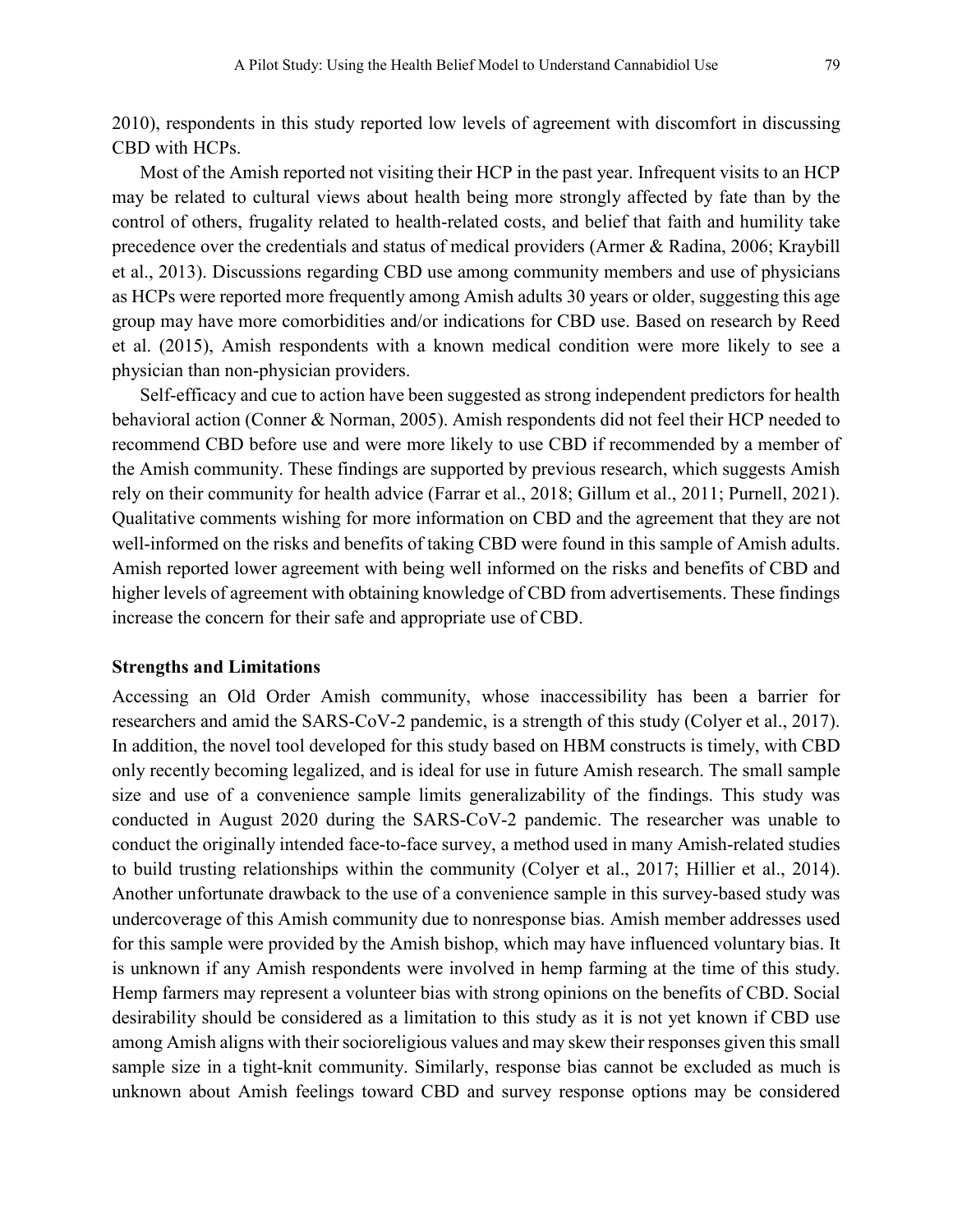2010), respondents in this study reported low levels of agreement with discomfort in discussing CBD with HCPs.

Most of the Amish reported not visiting their HCP in the past year. Infrequent visits to an HCP may be related to cultural views about health being more strongly affected by fate than by the control of others, frugality related to health-related costs, and belief that faith and humility take precedence over the credentials and status of medical providers (Armer & Radina, 2006; Kraybill et al., 2013). Discussions regarding CBD use among community members and use of physicians as HCPs were reported more frequently among Amish adults 30 years or older, suggesting this age group may have more comorbidities and/or indications for CBD use. Based on research by Reed et al. (2015), Amish respondents with a known medical condition were more likely to see a physician than non-physician providers.

Self-efficacy and cue to action have been suggested as strong independent predictors for health behavioral action (Conner & Norman, 2005). Amish respondents did not feel their HCP needed to recommend CBD before use and were more likely to use CBD if recommended by a member of the Amish community. These findings are supported by previous research, which suggests Amish rely on their community for health advice (Farrar et al., 2018; Gillum et al., 2011; Purnell, 2021). Qualitative comments wishing for more information on CBD and the agreement that they are not well-informed on the risks and benefits of taking CBD were found in this sample of Amish adults. Amish reported lower agreement with being well informed on the risks and benefits of CBD and higher levels of agreement with obtaining knowledge of CBD from advertisements. These findings increase the concern for their safe and appropriate use of CBD.

#### **Strengths and Limitations**

Accessing an Old Order Amish community, whose inaccessibility has been a barrier for researchers and amid the SARS-CoV-2 pandemic, is a strength of this study (Colyer et al., 2017). In addition, the novel tool developed for this study based on HBM constructs is timely, with CBD only recently becoming legalized, and is ideal for use in future Amish research. The small sample size and use of a convenience sample limits generalizability of the findings. This study was conducted in August 2020 during the SARS-CoV-2 pandemic. The researcher was unable to conduct the originally intended face-to-face survey, a method used in many Amish-related studies to build trusting relationships within the community (Colyer et al., 2017; Hillier et al., 2014). Another unfortunate drawback to the use of a convenience sample in this survey-based study was undercoverage of this Amish community due to nonresponse bias. Amish member addresses used for this sample were provided by the Amish bishop, which may have influenced voluntary bias. It is unknown if any Amish respondents were involved in hemp farming at the time of this study. Hemp farmers may represent a volunteer bias with strong opinions on the benefits of CBD. Social desirability should be considered as a limitation to this study as it is not yet known if CBD use among Amish aligns with their socioreligious values and may skew their responses given this small sample size in a tight-knit community. Similarly, response bias cannot be excluded as much is unknown about Amish feelings toward CBD and survey response options may be considered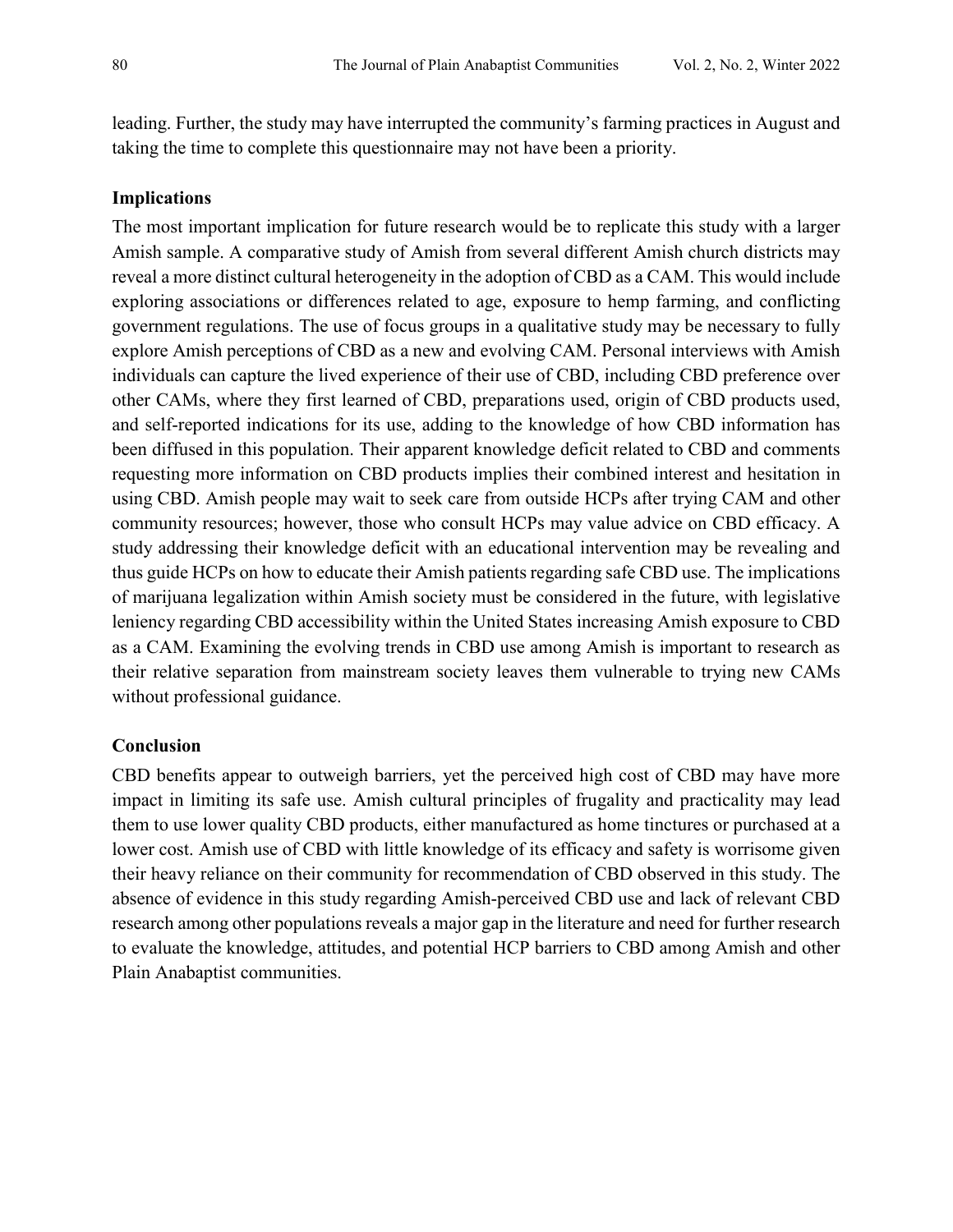leading. Further, the study may have interrupted the community's farming practices in August and taking the time to complete this questionnaire may not have been a priority.

#### **Implications**

The most important implication for future research would be to replicate this study with a larger Amish sample. A comparative study of Amish from several different Amish church districts may reveal a more distinct cultural heterogeneity in the adoption of CBD as a CAM. This would include exploring associations or differences related to age, exposure to hemp farming, and conflicting government regulations. The use of focus groups in a qualitative study may be necessary to fully explore Amish perceptions of CBD as a new and evolving CAM. Personal interviews with Amish individuals can capture the lived experience of their use of CBD, including CBD preference over other CAMs, where they first learned of CBD, preparations used, origin of CBD products used, and self-reported indications for its use, adding to the knowledge of how CBD information has been diffused in this population. Their apparent knowledge deficit related to CBD and comments requesting more information on CBD products implies their combined interest and hesitation in using CBD. Amish people may wait to seek care from outside HCPs after trying CAM and other community resources; however, those who consult HCPs may value advice on CBD efficacy. A study addressing their knowledge deficit with an educational intervention may be revealing and thus guide HCPs on how to educate their Amish patients regarding safe CBD use. The implications of marijuana legalization within Amish society must be considered in the future, with legislative leniency regarding CBD accessibility within the United States increasing Amish exposure to CBD as a CAM. Examining the evolving trends in CBD use among Amish is important to research as their relative separation from mainstream society leaves them vulnerable to trying new CAMs without professional guidance.

#### **Conclusion**

CBD benefits appear to outweigh barriers, yet the perceived high cost of CBD may have more impact in limiting its safe use. Amish cultural principles of frugality and practicality may lead them to use lower quality CBD products, either manufactured as home tinctures or purchased at a lower cost. Amish use of CBD with little knowledge of its efficacy and safety is worrisome given their heavy reliance on their community for recommendation of CBD observed in this study. The absence of evidence in this study regarding Amish-perceived CBD use and lack of relevant CBD research among other populations reveals a major gap in the literature and need for further research to evaluate the knowledge, attitudes, and potential HCP barriers to CBD among Amish and other Plain Anabaptist communities.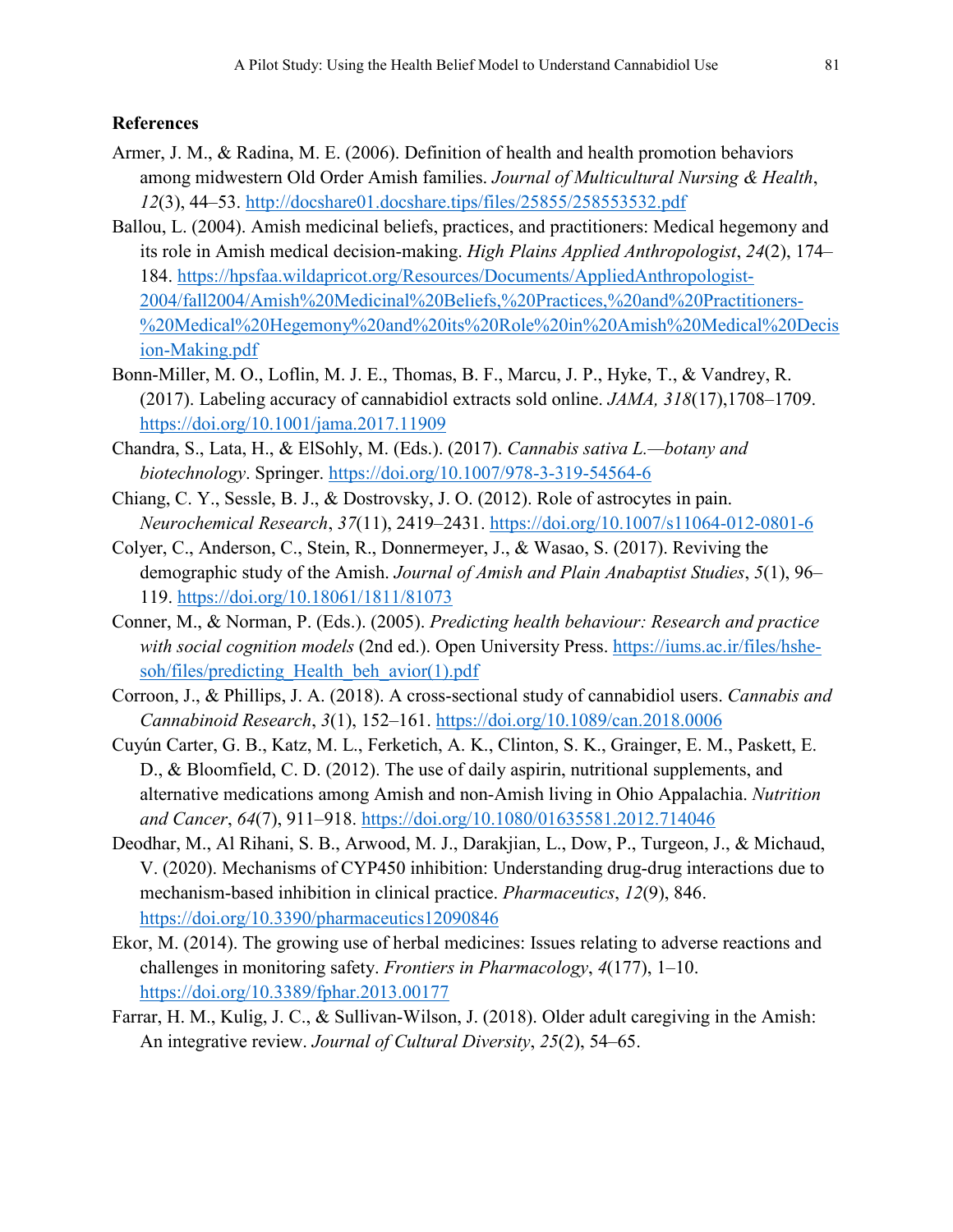## **References**

- Armer, J. M., & Radina, M. E. (2006). Definition of health and health promotion behaviors among midwestern Old Order Amish families. *Journal of Multicultural Nursing & Health*, *12*(3), 44–53.<http://docshare01.docshare.tips/files/25855/258553532.pdf>
- Ballou, L. (2004). Amish medicinal beliefs, practices, and practitioners: Medical hegemony and its role in Amish medical decision-making. *High Plains Applied Anthropologist*, *24*(2), 174– 184. [https://hpsfaa.wildapricot.org/Resources/Documents/AppliedAnthropologist-](https://hpsfaa.wildapricot.org/Resources/Documents/AppliedAnthropologist-2004/fall2004/Amish%20Medicinal%20Beliefs,%20Practices,%20and%20Practitioners-%20Medical%20Hegemony%20and%20its%20Role%20in%20Amish%20Medical%20Decision-Making.pdf)[2004/fall2004/Amish%20Medicinal%20Beliefs,%20Practices,%20and%20Practitioners-](https://hpsfaa.wildapricot.org/Resources/Documents/AppliedAnthropologist-2004/fall2004/Amish%20Medicinal%20Beliefs,%20Practices,%20and%20Practitioners-%20Medical%20Hegemony%20and%20its%20Role%20in%20Amish%20Medical%20Decision-Making.pdf) [%20Medical%20Hegemony%20and%20its%20Role%20in%20Amish%20Medical%20Decis](https://hpsfaa.wildapricot.org/Resources/Documents/AppliedAnthropologist-2004/fall2004/Amish%20Medicinal%20Beliefs,%20Practices,%20and%20Practitioners-%20Medical%20Hegemony%20and%20its%20Role%20in%20Amish%20Medical%20Decision-Making.pdf) [ion-Making.pdf](https://hpsfaa.wildapricot.org/Resources/Documents/AppliedAnthropologist-2004/fall2004/Amish%20Medicinal%20Beliefs,%20Practices,%20and%20Practitioners-%20Medical%20Hegemony%20and%20its%20Role%20in%20Amish%20Medical%20Decision-Making.pdf)
- Bonn-Miller, M. O., Loflin, M. J. E., Thomas, B. F., Marcu, J. P., Hyke, T., & Vandrey, R. (2017). Labeling accuracy of cannabidiol extracts sold online. *JAMA, 318*(17),1708–1709. <https://doi.org/10.1001/jama.2017.11909>
- Chandra, S., Lata, H., & ElSohly, M. (Eds.). (2017). *Cannabis sativa L.—botany and biotechnology*. Springer.<https://doi.org/10.1007/978-3-319-54564-6>
- Chiang, C. Y., Sessle, B. J., & Dostrovsky, J. O. (2012). Role of astrocytes in pain. *Neurochemical Research*, *37*(11), 2419–2431.<https://doi.org/10.1007/s11064-012-0801-6>
- Colyer, C., Anderson, C., Stein, R., Donnermeyer, J., & Wasao, S. (2017). Reviving the demographic study of the Amish. *Journal of Amish and Plain Anabaptist Studies*, *5*(1), 96– 119.<https://doi.org/10.18061/1811/81073>
- Conner, M., & Norman, P. (Eds.). (2005). *Predicting health behaviour: Research and practice with social cognition models* (2nd ed.). Open University Press. [https://iums.ac.ir/files/hshe](https://iums.ac.ir/files/hshe-soh/files/predicting_Health_beh_avior(1).pdf)soh/files/predicting Health beh avior(1).pdf
- Corroon, J., & Phillips, J. A. (2018). A cross-sectional study of cannabidiol users. *Cannabis and Cannabinoid Research*, *3*(1), 152–161.<https://doi.org/10.1089/can.2018.0006>
- Cuyún Carter, G. B., Katz, M. L., Ferketich, A. K., Clinton, S. K., Grainger, E. M., Paskett, E. D., & Bloomfield, C. D. (2012). The use of daily aspirin, nutritional supplements, and alternative medications among Amish and non-Amish living in Ohio Appalachia. *Nutrition and Cancer*, *64*(7), 911–918.<https://doi.org/10.1080/01635581.2012.714046>
- Deodhar, M., Al Rihani, S. B., Arwood, M. J., Darakjian, L., Dow, P., Turgeon, J., & Michaud, V. (2020). Mechanisms of CYP450 inhibition: Understanding drug-drug interactions due to mechanism-based inhibition in clinical practice. *Pharmaceutics*, *12*(9), 846. <https://doi.org/10.3390/pharmaceutics12090846>
- Ekor, M. (2014). The growing use of herbal medicines: Issues relating to adverse reactions and challenges in monitoring safety. *Frontiers in Pharmacology*, *4*(177), 1–10. <https://doi.org/10.3389/fphar.2013.00177>
- Farrar, H. M., Kulig, J. C., & Sullivan-Wilson, J. (2018). Older adult caregiving in the Amish: An integrative review. *Journal of Cultural Diversity*, *25*(2), 54–65.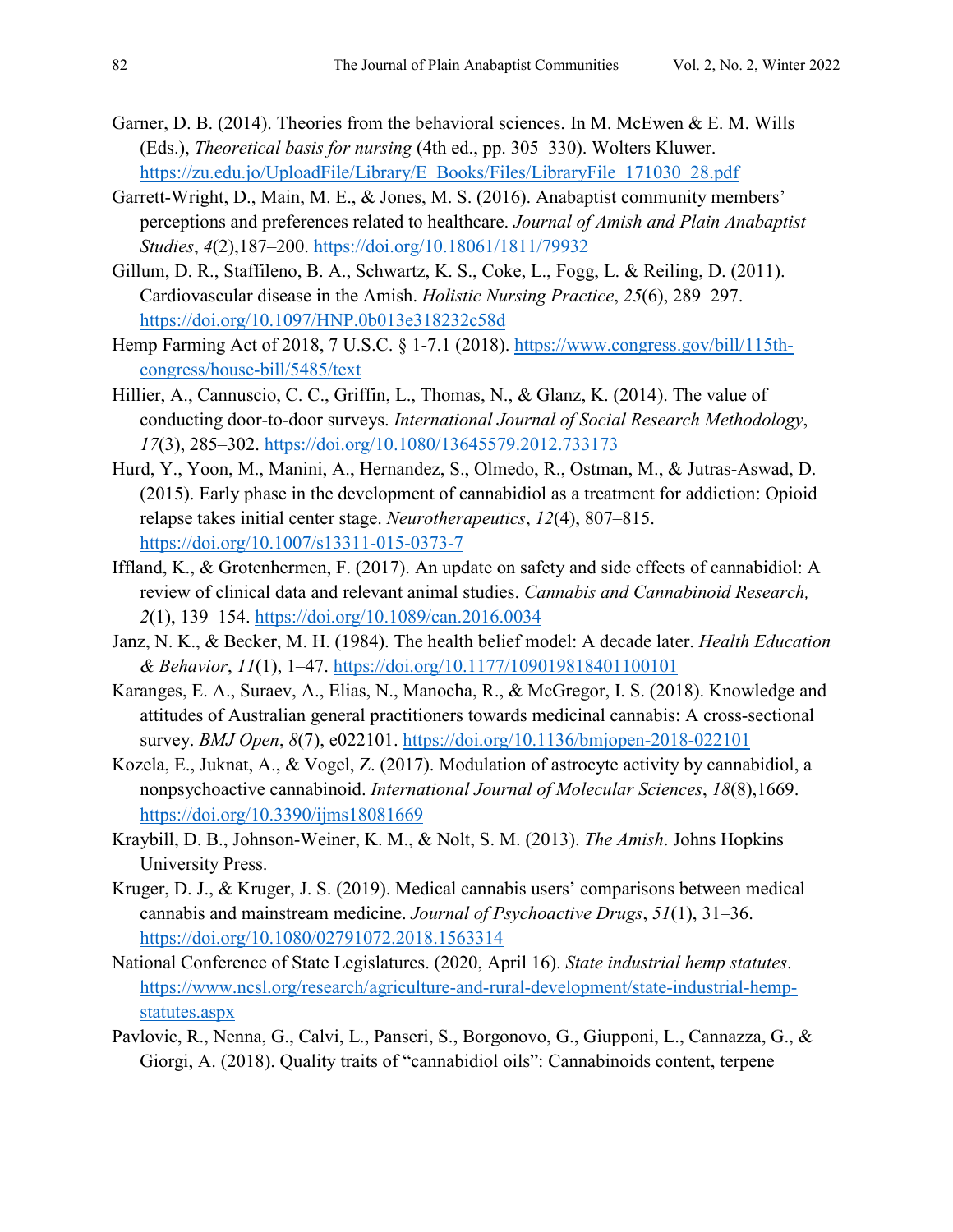- Garner, D. B. (2014). Theories from the behavioral sciences. In M. McEwen & E. M. Wills (Eds.), *Theoretical basis for nursing* (4th ed., pp. 305–330). Wolters Kluwer. [https://zu.edu.jo/UploadFile/Library/E\\_Books/Files/LibraryFile\\_171030\\_28.pdf](https://zu.edu.jo/UploadFile/Library/E_Books/Files/LibraryFile_171030_28.pdf)
- Garrett-Wright, D., Main, M. E., & Jones, M. S. (2016). Anabaptist community members' perceptions and preferences related to healthcare. *Journal of Amish and Plain Anabaptist Studies*, *4*(2),187–200.<https://doi.org/10.18061/1811/79932>
- Gillum, D. R., Staffileno, B. A., Schwartz, K. S., Coke, L., Fogg, L. & Reiling, D. (2011). Cardiovascular disease in the Amish. *Holistic Nursing Practice*, *25*(6), 289–297. <https://doi.org/10.1097/HNP.0b013e318232c58d>
- Hemp Farming Act of 2018, 7 U.S.C. § 1-7.1 (2018). [https://www.congress.gov/bill/115th](https://www.congress.gov/bill/115th-congress/house-bill/5485/text)[congress/house-bill/5485/text](https://www.congress.gov/bill/115th-congress/house-bill/5485/text)
- Hillier, A., Cannuscio, C. C., Griffin, L., Thomas, N., & Glanz, K. (2014). The value of conducting door-to-door surveys. *International Journal of Social Research Methodology*, *17*(3), 285–302.<https://doi.org/10.1080/13645579.2012.733173>
- Hurd, Y., Yoon, M., Manini, A., Hernandez, S., Olmedo, R., Ostman, M., & Jutras-Aswad, D. (2015). Early phase in the development of cannabidiol as a treatment for addiction: Opioid relapse takes initial center stage. *Neurotherapeutics*, *12*(4), 807–815. <https://doi.org/10.1007/s13311-015-0373-7>
- Iffland, K., & Grotenhermen, F. (2017). An update on safety and side effects of cannabidiol: A review of clinical data and relevant animal studies. *Cannabis and Cannabinoid Research, 2*(1), 139–154.<https://doi.org/10.1089/can.2016.0034>
- Janz, N. K., & Becker, M. H. (1984). The health belief model: A decade later. *Health Education & Behavior*, *11*(1), 1–47.<https://doi.org/10.1177/109019818401100101>
- Karanges, E. A., Suraev, A., Elias, N., Manocha, R., & McGregor, I. S. (2018). Knowledge and attitudes of Australian general practitioners towards medicinal cannabis: A cross-sectional survey. *BMJ Open*, *8*(7), e022101.<https://doi.org/10.1136/bmjopen-2018-022101>
- Kozela, E., Juknat, A., & Vogel, Z. (2017). Modulation of astrocyte activity by cannabidiol, a nonpsychoactive cannabinoid. *International Journal of Molecular Sciences*, *18*(8),1669. <https://doi.org/10.3390/ijms18081669>
- Kraybill, D. B., Johnson-Weiner, K. M., & Nolt, S. M. (2013). *The Amish*. Johns Hopkins University Press.
- Kruger, D. J., & Kruger, J. S. (2019). Medical cannabis users' comparisons between medical cannabis and mainstream medicine. *Journal of Psychoactive Drugs*, *51*(1), 31–36. <https://doi.org/10.1080/02791072.2018.1563314>
- National Conference of State Legislatures. (2020, April 16). *State industrial hemp statutes*. [https://www.ncsl.org/research/agriculture-and-rural-development/state-industrial-hemp](https://www.ncsl.org/research/agriculture-and-rural-development/state-industrial-hemp-statutes.aspx)[statutes.aspx](https://www.ncsl.org/research/agriculture-and-rural-development/state-industrial-hemp-statutes.aspx)
- Pavlovic, R., Nenna, G., Calvi, L., Panseri, S., Borgonovo, G., Giupponi, L., Cannazza, G., & Giorgi, A. (2018). Quality traits of "cannabidiol oils": Cannabinoids content, terpene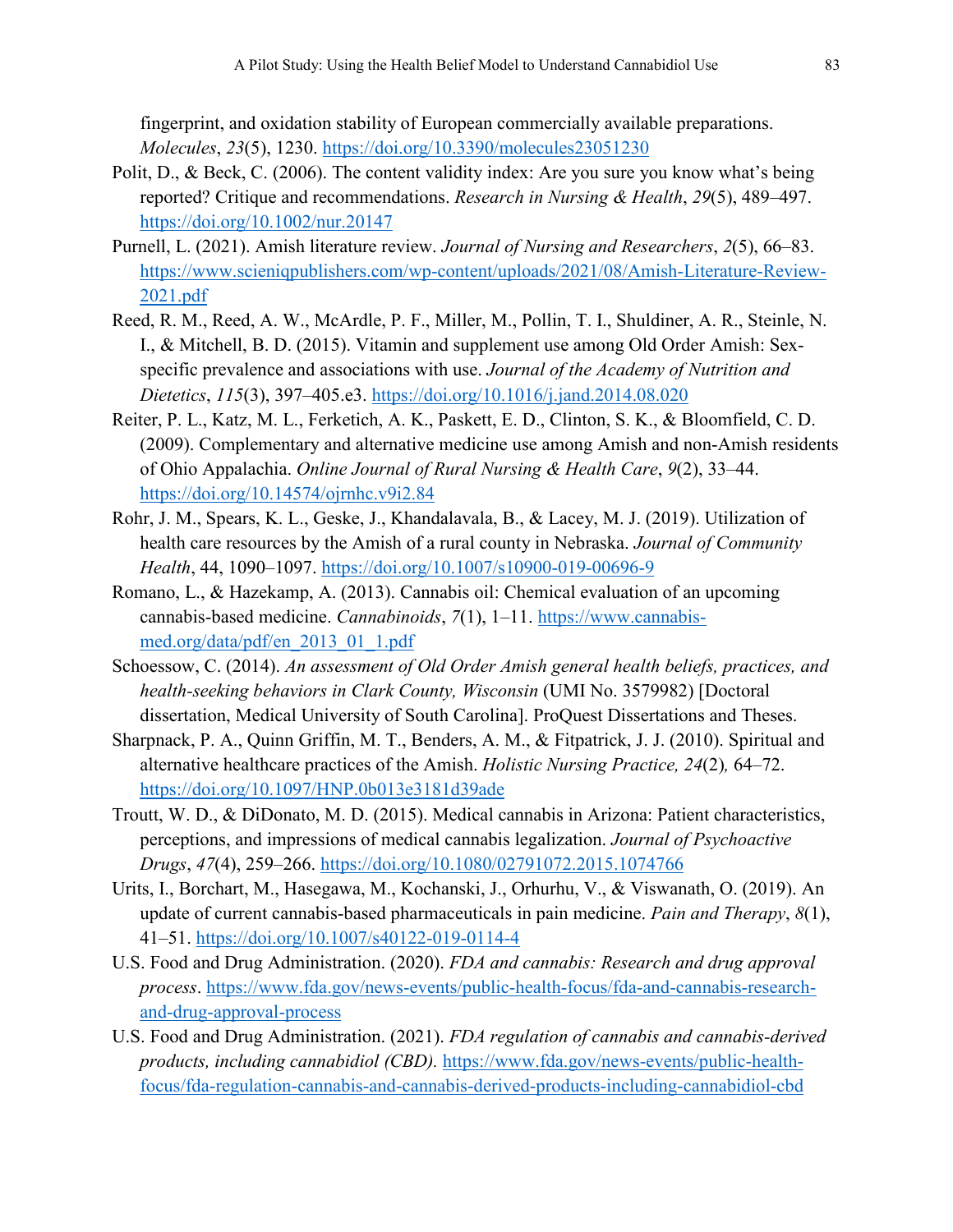fingerprint, and oxidation stability of European commercially available preparations. *Molecules*, *23*(5), 1230.<https://doi.org/10.3390/molecules23051230>

- Polit, D., & Beck, C. (2006). The content validity index: Are you sure you know what's being reported? Critique and recommendations. *Research in Nursing & Health*, *29*(5), 489–497. <https://doi.org/10.1002/nur.20147>
- Purnell, L. (2021). Amish literature review. *Journal of Nursing and Researchers*, *2*(5), 66–83. [https://www.scieniqpublishers.com/wp-content/uploads/2021/08/Amish-Literature-Review-](https://www.scieniqpublishers.com/wp-content/uploads/2021/08/Amish-Literature-Review-2021.pdf)[2021.pdf](https://www.scieniqpublishers.com/wp-content/uploads/2021/08/Amish-Literature-Review-2021.pdf)
- Reed, R. M., Reed, A. W., McArdle, P. F., Miller, M., Pollin, T. I., Shuldiner, A. R., Steinle, N. I., & Mitchell, B. D. (2015). Vitamin and supplement use among Old Order Amish: Sexspecific prevalence and associations with use. *Journal of the Academy of Nutrition and Dietetics*, *115*(3), 397–405.e3.<https://doi.org/10.1016/j.jand.2014.08.020>
- Reiter, P. L., Katz, M. L., Ferketich, A. K., Paskett, E. D., Clinton, S. K., & Bloomfield, C. D. (2009). Complementary and alternative medicine use among Amish and non-Amish residents of Ohio Appalachia. *Online Journal of Rural Nursing & Health Care*, *9*(2), 33–44. <https://doi.org/10.14574/ojrnhc.v9i2.84>
- Rohr, J. M., Spears, K. L., Geske, J., Khandalavala, B., & Lacey, M. J. (2019). Utilization of health care resources by the Amish of a rural county in Nebraska. *Journal of Community Health*, 44, 1090–1097.<https://doi.org/10.1007/s10900-019-00696-9>
- Romano, L., & Hazekamp, A. (2013). Cannabis oil: Chemical evaluation of an upcoming cannabis-based medicine. *Cannabinoids*, *7*(1), 1–11. [https://www.cannabis](https://www.cannabis-med.org/data/pdf/en_2013_01_1.pdf)[med.org/data/pdf/en\\_2013\\_01\\_1.pdf](https://www.cannabis-med.org/data/pdf/en_2013_01_1.pdf)
- Schoessow, C. (2014). *An assessment of Old Order Amish general health beliefs, practices, and health-seeking behaviors in Clark County, Wisconsin* (UMI No. 3579982) [Doctoral dissertation, Medical University of South Carolina]. ProQuest Dissertations and Theses.
- Sharpnack, P. A., Quinn Griffin, M. T., Benders, A. M., & Fitpatrick, J. J. (2010). Spiritual and alternative healthcare practices of the Amish. *Holistic Nursing Practice, 24*(2)*,* 64–72. <https://doi.org/10.1097/HNP.0b013e3181d39ade>
- Troutt, W. D., & DiDonato, M. D. (2015). Medical cannabis in Arizona: Patient characteristics, perceptions, and impressions of medical cannabis legalization. *Journal of Psychoactive Drugs*, *47*(4), 259–266.<https://doi.org/10.1080/02791072.2015.1074766>
- Urits, I., Borchart, M., Hasegawa, M., Kochanski, J., Orhurhu, V., & Viswanath, O. (2019). An update of current cannabis-based pharmaceuticals in pain medicine. *Pain and Therapy*, *8*(1), 41–51. <https://doi.org/10.1007/s40122-019-0114-4>
- U.S. Food and Drug Administration. (2020). *FDA and cannabis: Research and drug approval process*. [https://www.fda.gov/news-events/public-health-focus/fda-and-cannabis-research](https://www.fda.gov/news-events/public-health-focus/fda-and-cannabis-research-and-drug-approval-process)[and-drug-approval-process](https://www.fda.gov/news-events/public-health-focus/fda-and-cannabis-research-and-drug-approval-process)
- U.S. Food and Drug Administration. (2021). *FDA regulation of cannabis and cannabis-derived products, including cannabidiol (CBD).* [https://www.fda.gov/news-events/public-health](https://www.fda.gov/news-events/public-health-focus/fda-regulation-cannabis-and-cannabis-derived-products-including-cannabidiol-cbd)[focus/fda-regulation-cannabis-and-cannabis-derived-products-including-cannabidiol-cbd](https://www.fda.gov/news-events/public-health-focus/fda-regulation-cannabis-and-cannabis-derived-products-including-cannabidiol-cbd)